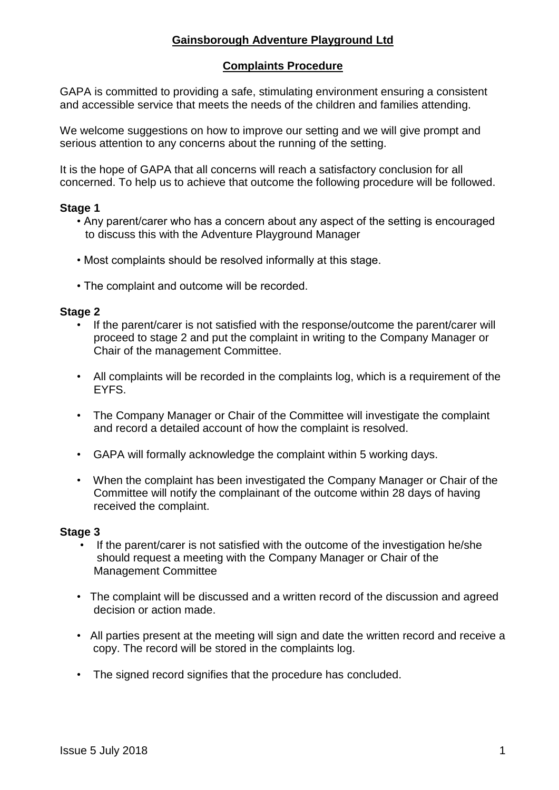# **Gainsborough Adventure Playground Ltd**

## **Complaints Procedure**

GAPA is committed to providing a safe, stimulating environment ensuring a consistent and accessible service that meets the needs of the children and families attending.

We welcome suggestions on how to improve our setting and we will give prompt and serious attention to any concerns about the running of the setting.

It is the hope of GAPA that all concerns will reach a satisfactory conclusion for all concerned. To help us to achieve that outcome the following procedure will be followed.

## **Stage 1**

- Any parent/carer who has a concern about any aspect of the setting is encouraged to discuss this with the Adventure Playground Manager
- Most complaints should be resolved informally at this stage.
- The complaint and outcome will be recorded.

#### **Stage 2**

- If the parent/carer is not satisfied with the response/outcome the parent/carer will proceed to stage 2 and put the complaint in writing to the Company Manager or Chair of the management Committee.
- All complaints will be recorded in the complaints log, which is a requirement of the EYFS.
- The Company Manager or Chair of the Committee will investigate the complaint and record a detailed account of how the complaint is resolved.
- GAPA will formally acknowledge the complaint within 5 working days.
- When the complaint has been investigated the Company Manager or Chair of the Committee will notify the complainant of the outcome within 28 days of having received the complaint.

#### **Stage 3**

- If the parent/carer is not satisfied with the outcome of the investigation he/she should request a meeting with the Company Manager or Chair of the Management Committee
- The complaint will be discussed and a written record of the discussion and agreed decision or action made.
- All parties present at the meeting will sign and date the written record and receive a copy. The record will be stored in the complaints log.
- The signed record signifies that the procedure has concluded.